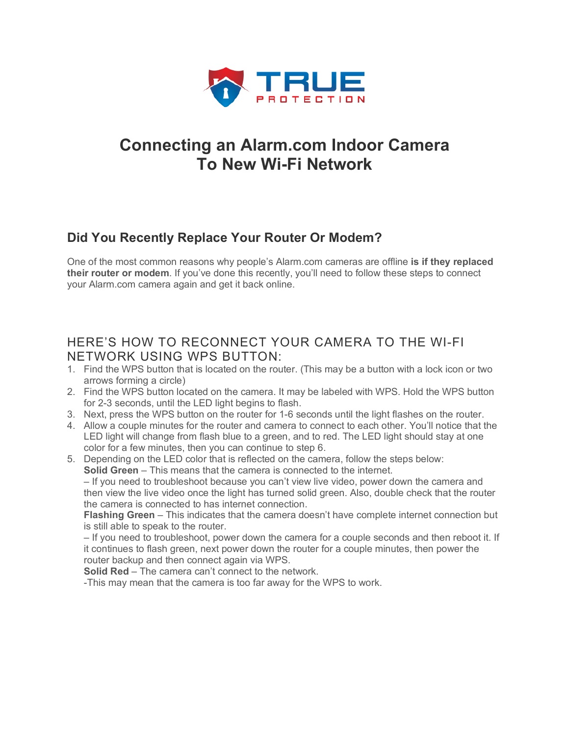

# **Connecting an Alarm.com Indoor Camera To New Wi-Fi Network**

## **Did You Recently Replace Your Router Or Modem?**

One of the most common reasons why people's Alarm.com cameras are offline **is if they replaced their router or modem**. If you've done this recently, you'll need to follow these steps to connect your Alarm.com camera again and get it back online.

### HERE'S HOW TO RECONNECT YOUR CAMERA TO THE WI-FI NETWORK USING WPS BUTTON:

- 1. Find the WPS button that is located on the router. (This may be a button with a lock icon or two arrows forming a circle)
- 2. Find the WPS button located on the camera. It may be labeled with WPS. Hold the WPS button for 2-3 seconds, until the LED light begins to flash.
- 3. Next, press the WPS button on the router for 1-6 seconds until the light flashes on the router.
- 4. Allow a couple minutes for the router and camera to connect to each other. You'll notice that the LED light will change from flash blue to a green, and to red. The LED light should stay at one color for a few minutes, then you can continue to step 6.
- 5. Depending on the LED color that is reflected on the camera, follow the steps below: **Solid Green** – This means that the camera is connected to the internet.

– If you need to troubleshoot because you can't view live video, power down the camera and then view the live video once the light has turned solid green. Also, double check that the router the camera is connected to has internet connection.

**Flashing Green** – This indicates that the camera doesn't have complete internet connection but is still able to speak to the router.

– If you need to troubleshoot, power down the camera for a couple seconds and then reboot it. If it continues to flash green, next power down the router for a couple minutes, then power the router backup and then connect again via WPS.

**Solid Red** – The camera can't connect to the network.

-This may mean that the camera is too far away for the WPS to work.